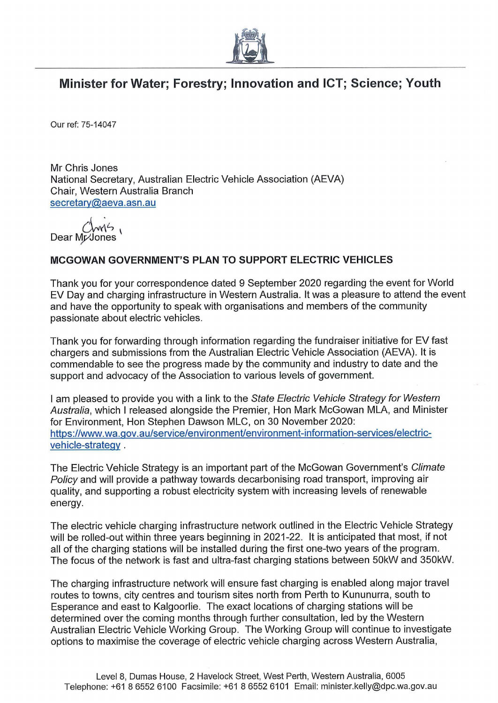

## Minister for Water; Forestry; Innovation and ICT; Science; Youth

Our ref: 75-14047

Mr Chris Jones National Secretary, Australian Electric Vehicle Association (AEVA) Chair, Western Australia Branch secretarv@aeva.asn.au

Dear Mr/Jones

## MCGOWAN GOVERNMENT S PLAN TO SUPPORT ELECTRIC VEHICLES

Thank you for your correspondence dated 9 September 2020 regarding the event for World EV Day and charging infrastructure in Western Australia. It was a pleasure to attend the event and have the opportunity to speak with organisations and members of the community passionate about electric vehicles.

Thank you for forwarding through information regarding the fundraiser initiative for EV fast chargers and submissions from the Australian Electric Vehicle Association (AEVA). It is commendable to see the progress made by the community and industry to date and the support and advocacy of the Association to various levels of government.

I am pleased to provide you with a link to the State Electric Vehicle Strategy for Western Australia, which I released alongside the Premier, Hon Mark McGowan MLA, and Minister for Environment, Hon Stephen Dawson MLC, on 30 November 2020: https://www.wa.qov.au/service/environment/environment-information-services/electricvehicle-strateqy .

The Electric Vehicle Strategy is an important part of the McGowan Government's Climate Policy and will provide a pathway towards decarbonising road transport, improving air quality, and supporting a robust electricity system with increasing levels of renewable energy.

The electric vehicle charging infrastructure network outlined in the Electric Vehicle Strategy will be rolled-out within three years beginning in 2021-22. It is anticipated that most, if not all of the charging stations will be installed during the first one-two years of the program. The focus of the network is fast and ultra-fast charging stations between 50kW and 350kW.

The charging infrastructure network will ensure fast charging is enabled along major travel routes to towns, city centres and tourism sites north from Perth to Kununurra, south to Esperance and east to Kalgoorlie. The exact locations of charging stations will be determined over the coming months through further consultation, led by the Western Australian Electric Vehicle Working Group. The Working Group will continue to investigate options to maximise the coverage of electric vehicle charging across Western Australia,